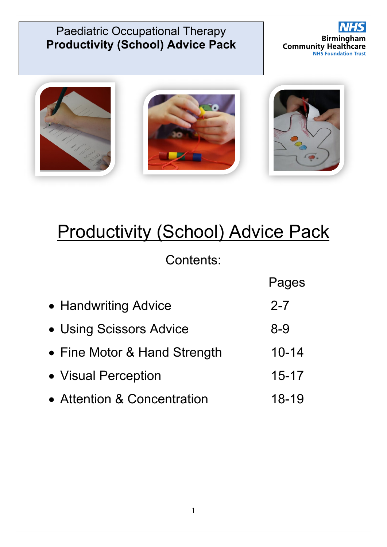



# **Productivity (School) Advice Pack**

Contents:

|                              | Pages     |
|------------------------------|-----------|
| • Handwriting Advice         | $2 - 7$   |
| • Using Scissors Advice      | $8-9$     |
| • Fine Motor & Hand Strength | $10 - 14$ |
| • Visual Perception          | $15 - 17$ |
| • Attention & Concentration  | 18-19     |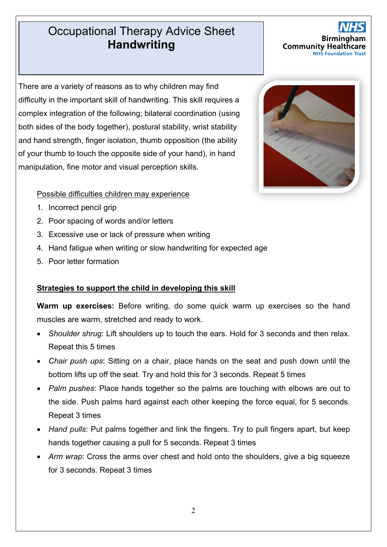### Occupational Therapy Advice Sheet **Productivity (School) Advice Pack Advice Pack Advice Pack Advice Pack Advice Pack Advice Pack Advice Pack Adv**

There are a variety of reasons as to why children may find difficulty in the important skill of handwriting. This skill requires a complex integration of the following; bilateral coordination (using both sides of the body together), postural stability, wrist stability and hand strength, finger isolation, thumb opposition (the ability of your thumb to touch the opposite side of your hand), in hand manipulation, fine motor and visual perception skills.

#### Possible difficulties children may experience

- 1. Incorrect pencil grip
- 2. Poor spacing of words and/or letters
- 3. Excessive use or lack of pressure when writing
- 4. Hand fatigue when writing or slow handwriting for expected age
- 5. Poor letter formation

#### **Strategies to support the child in developing this skill**

**Warm up exercises:** Before writing, do some quick warm up exercises so the hand muscles are warm, stretched and ready to work.

- *Shoulder shrug*: Lift shoulders up to touch the ears. Hold for 3 seconds and then relax. Repeat this 5 times
- *Chair push ups*: Sitting on a chair, place hands on the seat and push down until the bottom lifts up off the seat. Try and hold this for 3 seconds. Repeat 5 times
- *Palm pushes*: Place hands together so the palms are touching with elbows are out to the side. Push palms hard against each other keeping the force equal, for 5 seconds. Repeat 3 times
- *Hand pulls*: Put palms together and link the fingers. Try to pull fingers apart, but keep hands together causing a pull for 5 seconds. Repeat 3 times
- Arm wrap: Cross the arms over chest and hold onto the shoulders, give a big squeeze for 3 seconds. Repeat 3 times

2



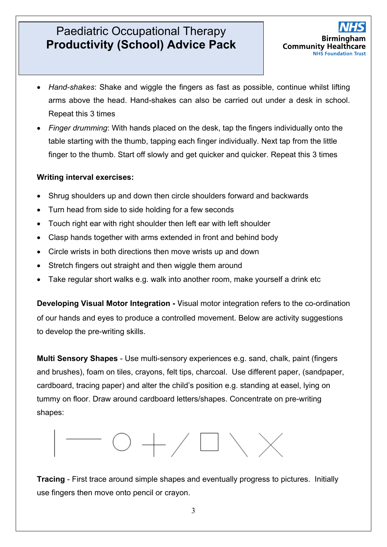

- *Hand-shakes*: Shake and wiggle the fingers as fast as possible, continue whilst lifting arms above the head. Hand-shakes can also be carried out under a desk in school. Repeat this 3 times
- *Finger drumming*: With hands placed on the desk, tap the fingers individually onto the table starting with the thumb, tapping each finger individually. Next tap from the little finger to the thumb. Start off slowly and get quicker and quicker. Repeat this 3 times

#### **Writing interval exercises:**

- Shrug shoulders up and down then circle shoulders forward and backwards
- Turn head from side to side holding for a few seconds
- Touch right ear with right shoulder then left ear with left shoulder
- Clasp hands together with arms extended in front and behind body
- Circle wrists in both directions then move wrists up and down
- Stretch fingers out straight and then wiggle them around
- Take regular short walks e.g. walk into another room, make yourself a drink etc

**Developing Visual Motor Integration -** Visual motor integration refers to the co-ordination of our hands and eyes to produce a controlled movement. Below are activity suggestions to develop the pre-writing skills.

**Multi Sensory Shapes** - Use multi-sensory experiences e.g. sand, chalk, paint (fingers and brushes), foam on tiles, crayons, felt tips, charcoal. Use different paper, (sandpaper, cardboard, tracing paper) and alter the child's position e.g. standing at easel, lying on tummy on floor. Draw around cardboard letters/shapes. Concentrate on pre-writing shapes:



**Tracing** - First trace around simple shapes and eventually progress to pictures. Initially use fingers then move onto pencil or crayon.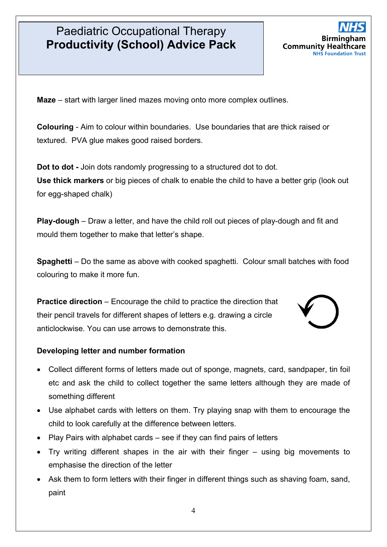

**Maze** – start with larger lined mazes moving onto more complex outlines.

**Colouring** - Aim to colour within boundaries. Use boundaries that are thick raised or textured. PVA glue makes good raised borders.

**Dot to dot -** Join dots randomly progressing to a structured dot to dot. **Use thick markers** or big pieces of chalk to enable the child to have a better grip (look out for egg-shaped chalk)

**Play-dough** – Draw a letter, and have the child roll out pieces of play-dough and fit and mould them together to make that letter's shape.

**Spaghetti** – Do the same as above with cooked spaghetti. Colour small batches with food colouring to make it more fun.

**Practice direction** – Encourage the child to practice the direction that their pencil travels for different shapes of letters e.g. drawing a circle anticlockwise. You can use arrows to demonstrate this.



#### **Developing letter and number formation**

- Collect different forms of letters made out of sponge, magnets, card, sandpaper, tin foil etc and ask the child to collect together the same letters although they are made of something different
- Use alphabet cards with letters on them. Try playing snap with them to encourage the child to look carefully at the difference between letters.
- Play Pairs with alphabet cards see if they can find pairs of letters
- Try writing different shapes in the air with their finger using big movements to emphasise the direction of the letter
- Ask them to form letters with their finger in different things such as shaving foam, sand, paint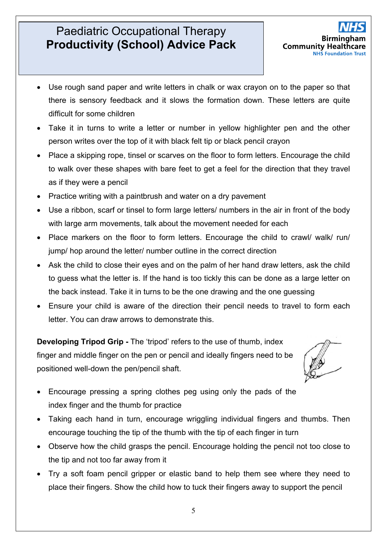

- Use rough sand paper and write letters in chalk or wax crayon on to the paper so that there is sensory feedback and it slows the formation down. These letters are quite difficult for some children
- Take it in turns to write a letter or number in yellow highlighter pen and the other person writes over the top of it with black felt tip or black pencil crayon
- Place a skipping rope, tinsel or scarves on the floor to form letters. Encourage the child to walk over these shapes with bare feet to get a feel for the direction that they travel as if they were a pencil
- Practice writing with a paintbrush and water on a dry pavement
- Use a ribbon, scarf or tinsel to form large letters/ numbers in the air in front of the body with large arm movements, talk about the movement needed for each
- Place markers on the floor to form letters. Encourage the child to crawl/ walk/ run/ jump/ hop around the letter/ number outline in the correct direction
- Ask the child to close their eyes and on the palm of her hand draw letters, ask the child to guess what the letter is. If the hand is too tickly this can be done as a large letter on the back instead. Take it in turns to be the one drawing and the one guessing
- Ensure your child is aware of the direction their pencil needs to travel to form each letter. You can draw arrows to demonstrate this.

**Developing Tripod Grip -** The 'tripod' refers to the use of thumb, index finger and middle finger on the pen or pencil and ideally fingers need to be positioned well-down the pen/pencil shaft.

- Encourage pressing a spring clothes peg using only the pads of the index finger and the thumb for practice
- Taking each hand in turn, encourage wriggling individual fingers and thumbs. Then encourage touching the tip of the thumb with the tip of each finger in turn
- Observe how the child grasps the pencil. Encourage holding the pencil not too close to the tip and not too far away from it
- Try a soft foam pencil gripper or elastic band to help them see where they need to place their fingers. Show the child how to tuck their fingers away to support the pencil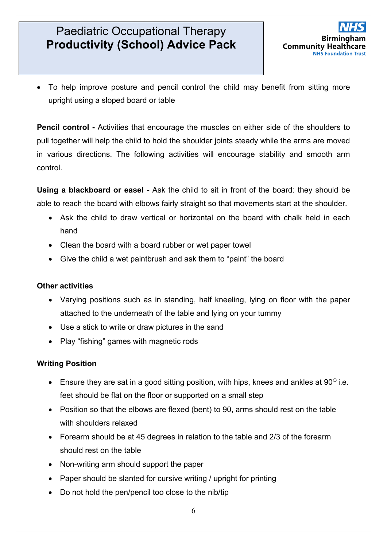

• To help improve posture and pencil control the child may benefit from sitting more upright using a sloped board or table

**Pencil control -** Activities that encourage the muscles on either side of the shoulders to pull together will help the child to hold the shoulder joints steady while the arms are moved in various directions. The following activities will encourage stability and smooth arm control.

**Using a blackboard or easel -** Ask the child to sit in front of the board: they should be able to reach the board with elbows fairly straight so that movements start at the shoulder.

- Ask the child to draw vertical or horizontal on the board with chalk held in each hand
- Clean the board with a board rubber or wet paper towel
- Give the child a wet paintbrush and ask them to "paint" the board

#### **Other activities**

- Varying positions such as in standing, half kneeling, lying on floor with the paper attached to the underneath of the table and lying on your tummy
- Use a stick to write or draw pictures in the sand
- Play "fishing" games with magnetic rods

#### **Writing Position**

- Ensure they are sat in a good sitting position, with hips, knees and ankles at  $90^{\circ}$  i.e. feet should be flat on the floor or supported on a small step
- Position so that the elbows are flexed (bent) to 90, arms should rest on the table with shoulders relaxed
- Forearm should be at 45 degrees in relation to the table and 2/3 of the forearm should rest on the table
- Non-writing arm should support the paper
- Paper should be slanted for cursive writing / upright for printing
- Do not hold the pen/pencil too close to the nib/tip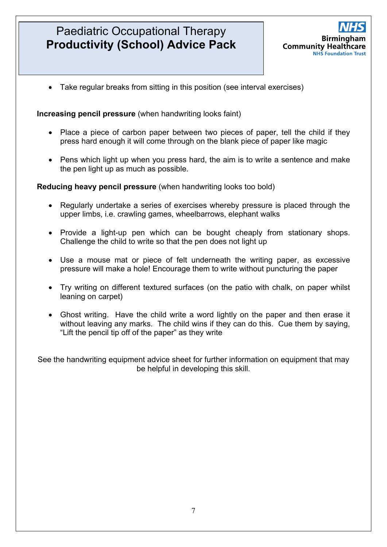

• Take regular breaks from sitting in this position (see interval exercises)

#### **Increasing pencil pressure** (when handwriting looks faint)

- Place a piece of carbon paper between two pieces of paper, tell the child if they press hard enough it will come through on the blank piece of paper like magic
- Pens which light up when you press hard, the aim is to write a sentence and make the pen light up as much as possible.

#### **Reducing heavy pencil pressure** (when handwriting looks too bold)

- Regularly undertake a series of exercises whereby pressure is placed through the upper limbs, i.e. crawling games, wheelbarrows, elephant walks
- Provide a light-up pen which can be bought cheaply from stationary shops. Challenge the child to write so that the pen does not light up
- Use a mouse mat or piece of felt underneath the writing paper, as excessive pressure will make a hole! Encourage them to write without puncturing the paper
- Try writing on different textured surfaces (on the patio with chalk, on paper whilst leaning on carpet)
- Ghost writing. Have the child write a word lightly on the paper and then erase it without leaving any marks. The child wins if they can do this. Cue them by saying, "Lift the pencil tip off of the paper" as they write

See the handwriting equipment advice sheet for further information on equipment that may be helpful in developing this skill.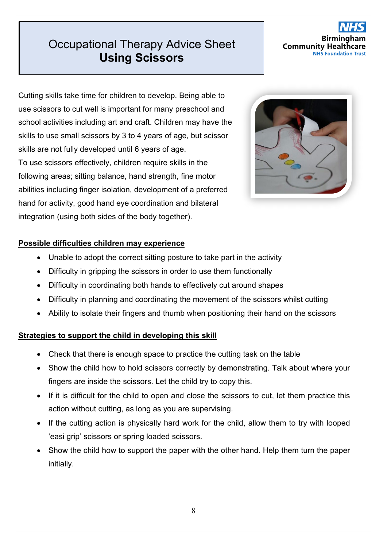### **Productional Therapy Advice Sheet Using Scissors**

### Birming **Community Health NHS Foundation**

Cutting skills take time for children to develop. Being able to use scissors to cut well is important for many preschool and school activities including art and craft. Children may have the skills to use small scissors by 3 to 4 years of age, but scissor skills are not fully developed until 6 years of age. To use scissors effectively, children require skills in the following areas; sitting balance, hand strength, fine motor abilities including finger isolation, development of a preferred hand for activity, good hand eye coordination and bilateral integration (using both sides of the body together).



#### **Possible difficulties children may experience**

- Unable to adopt the correct sitting posture to take part in the activity
- Difficulty in gripping the scissors in order to use them functionally
- Difficulty in coordinating both hands to effectively cut around shapes
- Difficulty in planning and coordinating the movement of the scissors whilst cutting
- Ability to isolate their fingers and thumb when positioning their hand on the scissors

#### **Strategies to support the child in developing this skill**

- Check that there is enough space to practice the cutting task on the table
- Show the child how to hold scissors correctly by demonstrating. Talk about where your fingers are inside the scissors. Let the child try to copy this.
- If it is difficult for the child to open and close the scissors to cut, let them practice this action without cutting, as long as you are supervising.
- If the cutting action is physically hard work for the child, allow them to try with looped 'easi grip' scissors or spring loaded scissors.
- Show the child how to support the paper with the other hand. Help them turn the paper initially.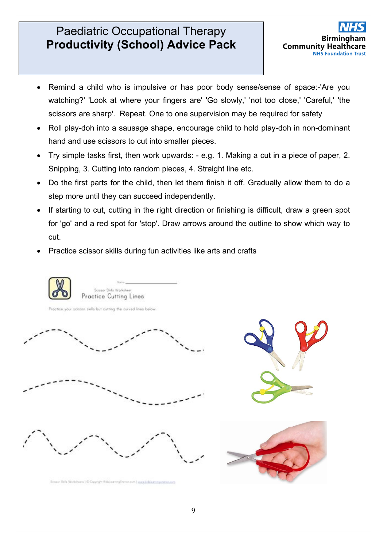

- Remind a child who is impulsive or has poor body sense/sense of space:-'Are you watching?' 'Look at where your fingers are' 'Go slowly,' 'not too close,' 'Careful,' 'the scissors are sharp'. Repeat. One to one supervision may be required for safety
- Roll play-doh into a sausage shape, encourage child to hold play-doh in non-dominant hand and use scissors to cut into smaller pieces.
- Try simple tasks first, then work upwards: e.g. 1. Making a cut in a piece of paper, 2. Snipping, 3. Cutting into random pieces, 4. Straight line etc.
- Do the first parts for the child, then let them finish it off. Gradually allow them to do a step more until they can succeed independently.
- If starting to cut, cutting in the right direction or finishing is difficult, draw a green spot for 'go' and a red spot for 'stop'. Draw arrows around the outline to show which way to cut.
- Practice scissor skills during fun activities like arts and crafts

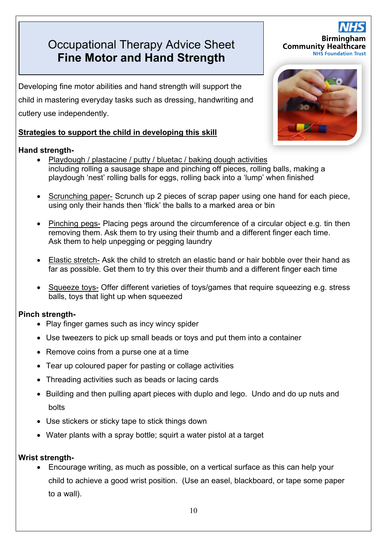### **Productional Therapy Advice Sheet Fine Motor and Hand Strength**

Developing fine motor abilities and hand strength will support the child in mastering everyday tasks such as dressing, handwriting and cutlery use independently.

#### **Strategies to support the child in developing this skill**

#### **Hand strength-**

- Playdough / plastacine / putty / bluetac / baking dough activities including rolling a sausage shape and pinching off pieces, rolling balls, making a playdough 'nest' rolling balls for eggs, rolling back into a 'lump' when finished
- Scrunching paper- Scrunch up 2 pieces of scrap paper using one hand for each piece, using only their hands then 'flick' the balls to a marked area or bin
- Pinching pegs- Placing pegs around the circumference of a circular object e.g. tin then removing them. Ask them to try using their thumb and a different finger each time. Ask them to help unpegging or pegging laundry
- Elastic stretch- Ask the child to stretch an elastic band or hair bobble over their hand as far as possible. Get them to try this over their thumb and a different finger each time
- Squeeze toys- Offer different varieties of toys/games that require squeezing e.g. stress balls, toys that light up when squeezed

#### **Pinch strength-**

- Play finger games such as incy wincy spider
- Use tweezers to pick up small beads or toys and put them into a container
- Remove coins from a purse one at a time
- Tear up coloured paper for pasting or collage activities
- Threading activities such as beads or lacing cards
- Building and then pulling apart pieces with duplo and lego. Undo and do up nuts and bolts
- Use stickers or sticky tape to stick things down
- Water plants with a spray bottle; squirt a water pistol at a target

#### **Wrist strength-**

• Encourage writing, as much as possible, on a vertical surface as this can help your child to achieve a good wrist position. (Use an easel, blackboard, or tape some paper to a wall).



**Birming** 

**NHS Foundation Trust** 

**Community Healthcare**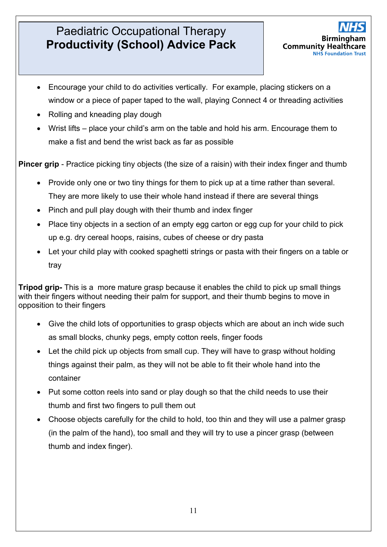

- Encourage your child to do activities vertically. For example, placing stickers on a window or a piece of paper taped to the wall, playing Connect 4 or threading activities
- Rolling and kneading play dough
- Wrist lifts place your child's arm on the table and hold his arm. Encourage them to make a fist and bend the wrist back as far as possible

**Pincer grip** - Practice picking tiny objects (the size of a raisin) with their index finger and thumb

- Provide only one or two tiny things for them to pick up at a time rather than several. They are more likely to use their whole hand instead if there are several things
- Pinch and pull play dough with their thumb and index finger
- Place tiny objects in a section of an empty egg carton or egg cup for your child to pick up e.g. dry cereal hoops, raisins, cubes of cheese or dry pasta
- Let your child play with cooked spaghetti strings or pasta with their fingers on a table or tray

**Tripod grip-** This is a more mature grasp because it enables the child to pick up small things with their fingers without needing their palm for support, and their thumb begins to move in opposition to their fingers

- Give the child lots of opportunities to grasp objects which are about an inch wide such as small blocks, chunky pegs, empty cotton reels, finger foods
- Let the child pick up objects from small cup. They will have to grasp without holding things against their palm, as they will not be able to fit their whole hand into the container
- Put some cotton reels into sand or play dough so that the child needs to use their thumb and first two fingers to pull them out
- Choose objects carefully for the child to hold, too thin and they will use a palmer grasp (in the palm of the hand), too small and they will try to use a pincer grasp (between thumb and index finger).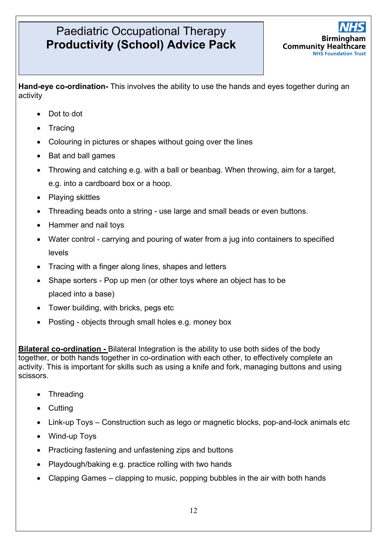**Hand-eye co-ordination-** This involves the ability to use the hands and eyes together during an activity

- Dot to dot
- Tracing
- Colouring in pictures or shapes without going over the lines
- Bat and ball games
- Throwing and catching e.g. with a ball or beanbag. When throwing, aim for a target, e.g. into a cardboard box or a hoop.
- Playing skittles
- Threading beads onto a string use large and small beads or even buttons.
- Hammer and nail toys
- Water control carrying and pouring of water from a jug into containers to specified levels
- Tracing with a finger along lines, shapes and letters
- Shape sorters Pop up men (or other toys where an object has to be placed into a base)
- Tower building, with bricks, pegs etc
- Posting objects through small holes e.g. money box

**Bilateral co-ordination -** Bilateral Integration is the ability to use both sides of the body together, or both hands together in co-ordination with each other, to effectively complete an activity. This is important for skills such as using a knife and fork, managing buttons and using scissors.

- Threading
- Cutting
- Link-up Toys Construction such as lego or magnetic blocks, pop-and-lock animals etc
- Wind-up Toys
- Practicing fastening and unfastening zips and buttons
- Playdough/baking e.g. practice rolling with two hands
- Clapping Games clapping to music, popping bubbles in the air with both hands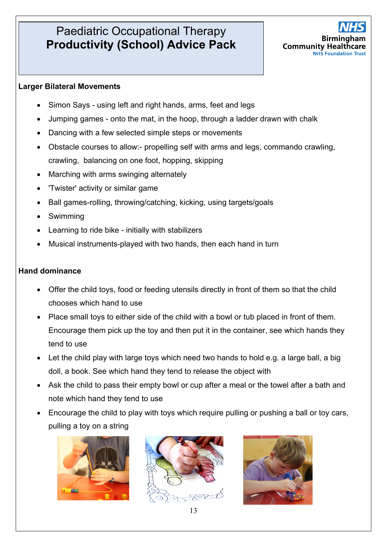

#### **Larger Bilateral Movements**

- Simon Says using left and right hands, arms, feet and legs
- Jumping games onto the mat, in the hoop, through a ladder drawn with chalk
- Dancing with a few selected simple steps or movements
- Obstacle courses to allow:- propelling self with arms and legs, commando crawling, crawling, balancing on one foot, hopping, skipping
- Marching with arms swinging alternately
- 'Twister' activity or similar game
- Ball games-rolling, throwing/catching, kicking, using targets/goals
- Swimming
- Learning to ride bike initially with stabilizers
- Musical instruments-played with two hands, then each hand in turn

#### **Hand dominance**

- Offer the child toys, food or feeding utensils directly in front of them so that the child chooses which hand to use
- Place small toys to either side of the child with a bowl or tub placed in front of them. Encourage them pick up the toy and then put it in the container, see which hands they tend to use
- Let the child play with large toys which need two hands to hold e.g. a large ball, a big doll, a book. See which hand they tend to release the object with
- Ask the child to pass their empty bowl or cup after a meal or the towel after a bath and note which hand they tend to use
- Encourage the child to play with toys which require pulling or pushing a ball or toy cars, pulling a toy on a string





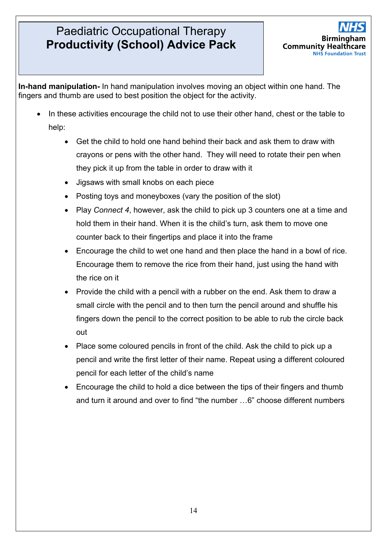

**In-hand manipulation-** In hand manipulation involves moving an object within one hand. The fingers and thumb are used to best position the object for the activity.

- In these activities encourage the child not to use their other hand, chest or the table to help:
	- Get the child to hold one hand behind their back and ask them to draw with crayons or pens with the other hand. They will need to rotate their pen when they pick it up from the table in order to draw with it
	- Jigsaws with small knobs on each piece
	- Posting toys and moneyboxes (vary the position of the slot)
	- Play *Connect 4*, however, ask the child to pick up 3 counters one at a time and hold them in their hand. When it is the child's turn, ask them to move one counter back to their fingertips and place it into the frame
	- Encourage the child to wet one hand and then place the hand in a bowl of rice. Encourage them to remove the rice from their hand, just using the hand with the rice on it
	- Provide the child with a pencil with a rubber on the end. Ask them to draw a small circle with the pencil and to then turn the pencil around and shuffle his fingers down the pencil to the correct position to be able to rub the circle back out
	- Place some coloured pencils in front of the child. Ask the child to pick up a pencil and write the first letter of their name. Repeat using a different coloured pencil for each letter of the child's name
	- Encourage the child to hold a dice between the tips of their fingers and thumb and turn it around and over to find "the number …6" choose different numbers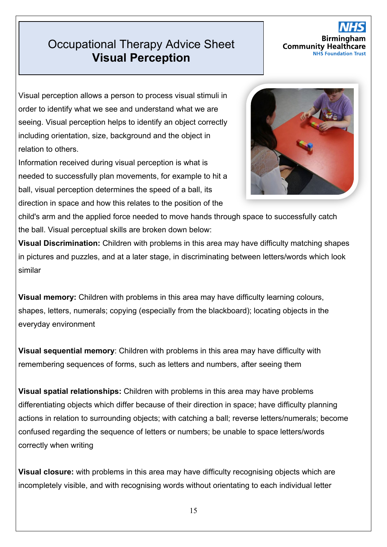### **Productional Therapy Advice Sheet Visual Perception**

#### Birming **Community Health NHS Foundatio**

Visual perception allows a person to process visual stimuli in order to identify what we see and understand what we are seeing. Visual perception helps to identify an object correctly including orientation, size, background and the object in relation to others.

Information received during visual perception is what is needed to successfully plan movements, for example to hit a ball, visual perception determines the speed of a ball, its direction in space and how this relates to the position of the



child's arm and the applied force needed to move hands through space to successfully catch the ball. Visual perceptual skills are broken down below:

**Visual Discrimination:** Children with problems in this area may have difficulty matching shapes in pictures and puzzles, and at a later stage, in discriminating between letters/words which look similar

**Visual memory:** Children with problems in this area may have difficulty learning colours, shapes, letters, numerals; copying (especially from the blackboard); locating objects in the everyday environment

**Visual sequential memory**: Children with problems in this area may have difficulty with remembering sequences of forms, such as letters and numbers, after seeing them

**Visual spatial relationships:** Children with problems in this area may have problems differentiating objects which differ because of their direction in space; have difficulty planning actions in relation to surrounding objects; with catching a ball; reverse letters/numerals; become confused regarding the sequence of letters or numbers; be unable to space letters/words correctly when writing

**Visual closure:** with problems in this area may have difficulty recognising objects which are incompletely visible, and with recognising words without orientating to each individual letter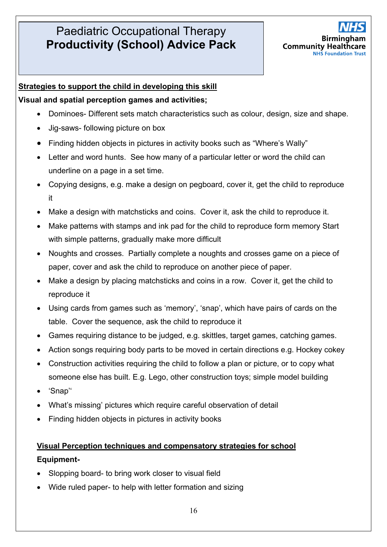

#### **Strategies to support the child in developing this skill**

#### **Visual and spatial perception games and activities;**

- Dominoes- Different sets match characteristics such as colour, design, size and shape.
- Jig-saws- following picture on box
- Finding hidden objects in pictures in activity books such as "Where's Wally"
- Letter and word hunts. See how many of a particular letter or word the child can underline on a page in a set time.
- Copying designs, e.g. make a design on pegboard, cover it, get the child to reproduce it
- Make a design with matchsticks and coins. Cover it, ask the child to reproduce it.
- Make patterns with stamps and ink pad for the child to reproduce form memory Start with simple patterns, gradually make more difficult
- Noughts and crosses. Partially complete a noughts and crosses game on a piece of paper, cover and ask the child to reproduce on another piece of paper.
- Make a design by placing matchsticks and coins in a row. Cover it, get the child to reproduce it
- Using cards from games such as 'memory', 'snap', which have pairs of cards on the table. Cover the sequence, ask the child to reproduce it
- Games requiring distance to be judged, e.g. skittles, target games, catching games.
- Action songs requiring body parts to be moved in certain directions e.g. Hockey cokey
- Construction activities requiring the child to follow a plan or picture, or to copy what someone else has built. E.g. Lego, other construction toys; simple model building
- 'Snap''
- What's missing' pictures which require careful observation of detail
- Finding hidden objects in pictures in activity books

### **Visual Perception techniques and compensatory strategies for school Equipment-**

- Slopping board- to bring work closer to visual field
- Wide ruled paper- to help with letter formation and sizing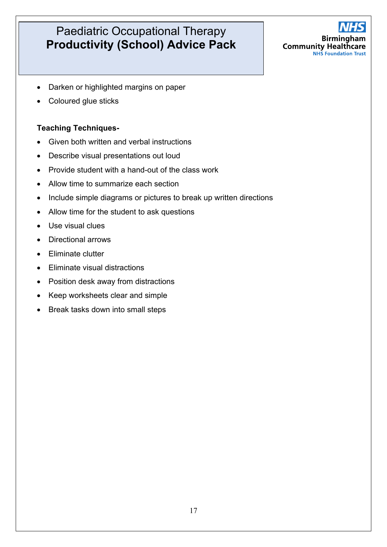

- Darken or highlighted margins on paper
- Coloured glue sticks

#### **Teaching Techniques-**

- Given both written and verbal instructions
- Describe visual presentations out loud
- Provide student with a hand-out of the class work
- Allow time to summarize each section
- Include simple diagrams or pictures to break up written directions
- Allow time for the student to ask questions
- Use visual clues
- Directional arrows
- Fliminate clutter
- Eliminate visual distractions
- Position desk away from distractions
- Keep worksheets clear and simple
- Break tasks down into small steps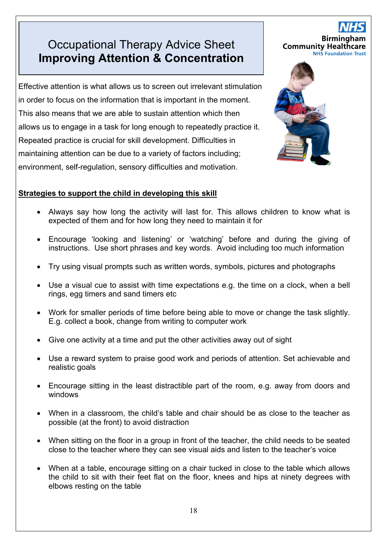### **Productional Therapy Advice Sheet Improving Attention & Concentration**

Effective attention is what allows us to screen out irrelevant stimulation in order to focus on the information that is important in the moment. This also means that we are able to sustain attention which then allows us to engage in a task for long enough to repeatedly practice it. Repeated practice is crucial for skill development. Difficulties in maintaining attention can be due to a variety of factors including; environment, self-regulation, sensory difficulties and motivation.

## **Birming Community Healthcare**<br>**NHS Foundation Trust**



#### **Strategies to support the child in developing this skill**

- Always say how long the activity will last for. This allows children to know what is expected of them and for how long they need to maintain it for
- Encourage 'looking and listening' or 'watching' before and during the giving of instructions. Use short phrases and key words. Avoid including too much information
- Try using visual prompts such as written words, symbols, pictures and photographs
- Use a visual cue to assist with time expectations e.g. the time on a clock, when a bell rings, egg timers and sand timers etc
- Work for smaller periods of time before being able to move or change the task slightly. E.g. collect a book, change from writing to computer work
- Give one activity at a time and put the other activities away out of sight
- Use a reward system to praise good work and periods of attention. Set achievable and realistic goals
- Encourage sitting in the least distractible part of the room, e.g. away from doors and windows
- When in a classroom, the child's table and chair should be as close to the teacher as possible (at the front) to avoid distraction
- When sitting on the floor in a group in front of the teacher, the child needs to be seated close to the teacher where they can see visual aids and listen to the teacher's voice
- When at a table, encourage sitting on a chair tucked in close to the table which allows the child to sit with their feet flat on the floor, knees and hips at ninety degrees with elbows resting on the table